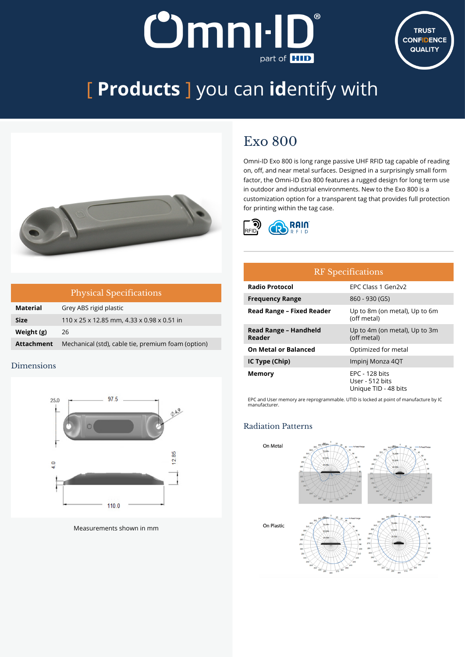## **Dmnill J** part of **HID**



# [ **Products** ] you can **id**entify with



|                   | <b>Physical Specifications</b>                     |
|-------------------|----------------------------------------------------|
| <b>Material</b>   | Grey ABS rigid plastic                             |
| <b>Size</b>       | 110 x 25 x 12.85 mm, 4.33 x 0.98 x 0.51 in         |
| Weight (g)        | 26                                                 |
| <b>Attachment</b> | Mechanical (std), cable tie, premium foam (option) |

#### Dimensions



Measurements shown in mm

### Exo 800

Omni-ID Exo 800 is long range passive UHF RFID tag capable of reading on, off, and near metal surfaces. Designed in a surprisingly small form factor, the Omni-ID Exo 800 features a rugged design for long term use in outdoor and industrial environments. New to the Exo 800 is a customization option for a transparent tag that provides full protection for printing within the tag case.



| <b>RF</b> Specifications         |                                                                  |  |  |
|----------------------------------|------------------------------------------------------------------|--|--|
| <b>Radio Protocol</b>            | FPC Class 1 Gen2v2                                               |  |  |
| <b>Frequency Range</b>           | 860 - 930 (GS)                                                   |  |  |
| <b>Read Range - Fixed Reader</b> | Up to 8m (on metal), Up to 6m<br>(off metal)                     |  |  |
| Read Range - Handheld<br>Reader  | Up to 4m (on metal), Up to 3m<br>(off metal)                     |  |  |
| <b>On Metal or Balanced</b>      | Optimized for metal                                              |  |  |
| IC Type (Chip)                   | Impinj Monza 4QT                                                 |  |  |
| Memory                           | <b>EPC - 128 bits</b><br>User - 512 bits<br>Unique TID - 48 bits |  |  |

EPC and User memory are reprogrammable. UTID is locked at point of manufacture by IC manufacturer.

#### Radiation Patterns